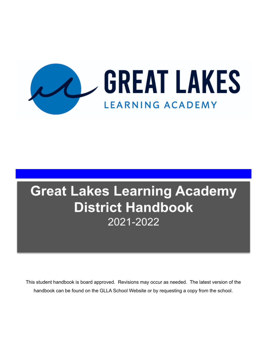

# **Great Lakes Learning Academy District Handbook** 2021-2022

This student handbook is board approved. Revisions may occur as needed. The latest version of the handbook can be found on the GLLA School Website or by requesting a copy from the school.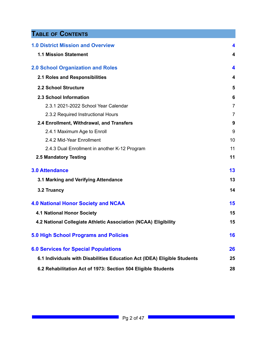# **TABLE OF CONTENTS**

| <b>1.0 District Mission and Overview</b>                                 | 4              |
|--------------------------------------------------------------------------|----------------|
| <b>1.1 Mission Statement</b>                                             | 4              |
| <b>2.0 School Organization and Roles</b>                                 | 4              |
| 2.1 Roles and Responsibilities                                           | 4              |
| 2.2 School Structure                                                     | 5              |
| 2.3 School Information                                                   | 6              |
| 2.3.1 2021-2022 School Year Calendar                                     | $\overline{7}$ |
| 2.3.2 Required Instructional Hours                                       | 7              |
| 2.4 Enrollment, Withdrawal, and Transfers                                | 9              |
| 2.4.1 Maximum Age to Enroll                                              | 9              |
| 2.4.2 Mid-Year Enrollment                                                | 10             |
| 2.4.3 Dual Enrollment in another K-12 Program                            | 11             |
| 2.5 Mandatory Testing                                                    | 11             |
| <b>3.0 Attendance</b>                                                    | 13             |
| 3.1 Marking and Verifying Attendance                                     | 13             |
| 3.2 Truancy                                                              | 14             |
| <b>4.0 National Honor Society and NCAA</b>                               | 15             |
| <b>4.1 National Honor Society</b>                                        | 15             |
| 4.2 National Collegiate Athletic Association (NCAA) Eligibility          | 15             |
| <b>5.0 High School Programs and Policies</b>                             | 16             |
| <b>6.0 Services for Special Populations</b>                              | 26             |
| 6.1 Individuals with Disabilities Education Act (IDEA) Eligible Students | 25             |
| 6.2 Rehabilitation Act of 1973: Section 504 Eligible Students            | 28             |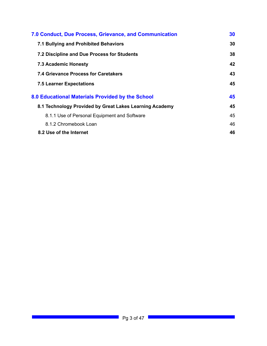| 7.0 Conduct, Due Process, Grievance, and Communication  | 30 |
|---------------------------------------------------------|----|
| 7.1 Bullying and Prohibited Behaviors                   | 30 |
| 7.2 Discipline and Due Process for Students             | 38 |
| <b>7.3 Academic Honesty</b>                             | 42 |
| 7.4 Grievance Process for Caretakers                    | 43 |
| <b>7.5 Learner Expectations</b>                         | 45 |
| 8.0 Educational Materials Provided by the School        | 45 |
| 8.1 Technology Provided by Great Lakes Learning Academy | 45 |
| 8.1.1 Use of Personal Equipment and Software            | 45 |
| 8.1.2 Chromebook Loan                                   | 46 |
| 8.2 Use of the Internet                                 | 46 |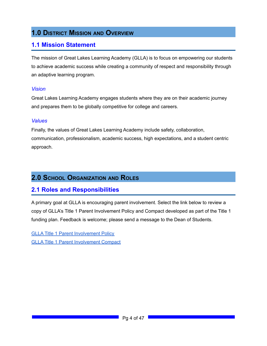# <span id="page-3-0"></span>**1.0 DISTRICT MISSION AND OVERVIEW**

### <span id="page-3-1"></span>**1.1 Mission Statement**

The mission of Great Lakes Learning Academy (GLLA) is to focus on empowering our students to achieve academic success while creating a community of respect and responsibility through an adaptive learning program.

#### *Vision*

Great Lakes Learning Academy engages students where they are on their academic journey and prepares them to be globally competitive for college and careers.

#### *Values*

Finally, the values of Great Lakes Learning Academy include safety, collaboration, communication, professionalism, academic success, high expectations, and a student centric approach.

### <span id="page-3-2"></span>**2.0 SCHOOL ORGANIZATION AND ROLES**

### <span id="page-3-3"></span>**2.1 Roles and Responsibilities**

A primary goal at GLLA is encouraging parent involvement. Select the link below to review a copy of GLLA's Title 1 Parent Involvement Policy and Compact developed as part of the Title 1 funding plan. Feedback is welcome; please send a message to the Dean of Students.

GLLA Title 1 Parent [Involvement](https://docs.google.com/document/d/1XA4WKYfgKt6-TIzqF71p3qBJHcsTydJlmnWPudNPhtg/edit#heading=h.gjdgxs) Policy GLLA Title 1 Parent [Involvement](https://docs.google.com/document/d/1Df_Xu3V_AH04zoEiDFqMUkfh9I6Eau1MGG_UyYHsfeo/edit#heading=h.gjdgxs) Compact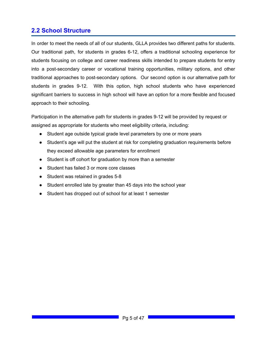### <span id="page-4-0"></span>**2.2 School Structure**

In order to meet the needs of all of our students, GLLA provides two different paths for students. Our traditional path, for students in grades 6-12, offers a traditional schooling experience for students focusing on college and career readiness skills intended to prepare students for entry into a post-secondary career or vocational training opportunities, military options, and other traditional approaches to post-secondary options. Our second option is our alternative path for students in grades 9-12. With this option, high school students who have experienced significant barriers to success in high school will have an option for a more flexible and focused approach to their schooling.

Participation in the alternative path for students in grades 9-12 will be provided by request or assigned as appropriate for students who meet eligibility criteria, including:

- Student age outside typical grade level parameters by one or more years
- Student's age will put the student at risk for completing graduation requirements before they exceed allowable age parameters for enrollment
- Student is off cohort for graduation by more than a semester
- Student has failed 3 or more core classes
- Student was retained in grades 5-8
- Student enrolled late by greater than 45 days into the school year
- Student has dropped out of school for at least 1 semester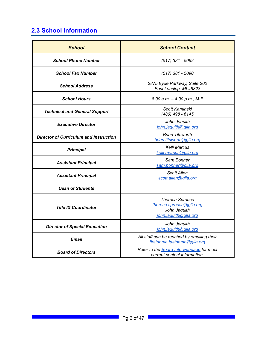# <span id="page-5-0"></span>**2.3 School Information**

| <b>School</b>                                 | <b>School Contact</b>                                                                       |  |
|-----------------------------------------------|---------------------------------------------------------------------------------------------|--|
| <b>School Phone Number</b>                    | $(517)$ 381 - 5062                                                                          |  |
| <b>School Fax Number</b>                      | $(517)$ 381 - 5090                                                                          |  |
| <b>School Address</b>                         | 2875 Eyde Parkway, Suite 200<br>East Lansing, MI 48823                                      |  |
| <b>School Hours</b>                           | 8:00 a.m. $-$ 4:00 p.m., M-F                                                                |  |
| <b>Technical and General Support</b>          | Scott Kaminski<br>(480) 498 - 6145                                                          |  |
| <b>Executive Director</b>                     | John Jaquith<br>john.jaquith@glla.org                                                       |  |
| <b>Director of Curriculum and Instruction</b> | <b>Brian Titsworth</b><br>brian.titsworth@glla.org                                          |  |
| <b>Principal</b>                              | Kelli Marcus<br>kelli.marcus@glla.org                                                       |  |
| <b>Assistant Principal</b>                    | Sam Bonner<br>sam.bonner@glla.org                                                           |  |
| <b>Assistant Principal</b>                    | Scott Allen<br>scott.allen@glla.org                                                         |  |
| <b>Dean of Students</b>                       |                                                                                             |  |
| <b>Title IX Coordinator</b>                   | <b>Theresa Sprouse</b><br>theresa.sprouse@glla.org<br>John Jaquith<br>john.jaquith@glla.org |  |
| <b>Director of Special Education</b>          | John Jaquith<br>john.jaquith@glla.org                                                       |  |
| Email                                         | All staff can be reached by emailing their<br>firstname.lastname@glla.org                   |  |
| <b>Board of Directors</b>                     | Refer to the Board Info webpage for most<br>current contact information.                    |  |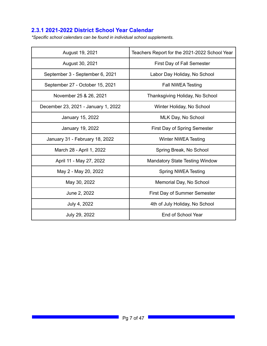### **2.3.1 2021-2022 District School Year Calendar**

*\*Specific school calendars can be found in individual school supplements.*

| August 19, 2021                     | Teachers Report for the 2021-2022 School Year |  |
|-------------------------------------|-----------------------------------------------|--|
| August 30, 2021                     | First Day of Fall Semester                    |  |
| September 3 - September 6, 2021     | Labor Day Holiday, No School                  |  |
| September 27 - October 15, 2021     | Fall NWEA Testing                             |  |
| November 25 & 26, 2021              | Thanksgiving Holiday, No School               |  |
| December 23, 2021 - January 1, 2022 | Winter Holiday, No School                     |  |
| January 15, 2022                    | MLK Day, No School                            |  |
| January 19, 2022                    | First Day of Spring Semester                  |  |
| January 31 - February 18, 2022      | <b>Winter NWEA Testing</b>                    |  |
| March 28 - April 1, 2022            | Spring Break, No School                       |  |
| April 11 - May 27, 2022             | <b>Mandatory State Testing Window</b>         |  |
| May 2 - May 20, 2022                | <b>Spring NWEA Testing</b>                    |  |
| May 30, 2022                        | Memorial Day, No School                       |  |
| June 2, 2022                        | First Day of Summer Semester                  |  |
| July 4, 2022                        | 4th of July Holiday, No School                |  |
| July 29, 2022                       | End of School Year                            |  |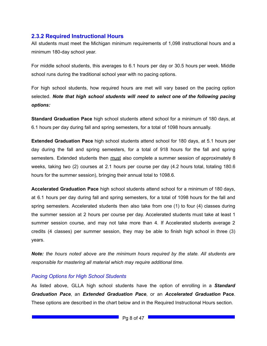#### **2.3.2 Required Instructional Hours**

All students must meet the Michigan minimum requirements of 1,098 instructional hours and a minimum 180-day school year.

For middle school students, this averages to 6.1 hours per day or 30.5 hours per week. Middle school runs during the traditional school year with no pacing options.

For high school students, how required hours are met will vary based on the pacing option selected. *Note that high school students will need to select one of the following pacing options:*

**Standard Graduation Pace** high school students attend school for a minimum of 180 days, at 6.1 hours per day during fall and spring semesters, for a total of 1098 hours annually.

**Extended Graduation Pace** high school students attend school for 180 days, at 5.1 hours per day during the fall and spring semesters, for a total of 918 hours for the fall and spring semesters. Extended students then must also complete a summer session of approximately 8 weeks, taking two (2) courses at 2.1 hours per course per day (4.2 hours total, totaling 180.6 hours for the summer session), bringing their annual total to 1098.6.

**Accelerated Graduation Pace** high school students attend school for a minimum of 180 days, at 6.1 hours per day during fall and spring semesters, for a total of 1098 hours for the fall and spring semesters. Accelerated students then also take from one (1) to four (4) classes during the summer session at 2 hours per course per day. Accelerated students must take at least 1 summer session course, and may not take more than 4. If Accelerated students average 2 credits (4 classes) per summer session, they may be able to finish high school in three (3) years.

*Note: the hours noted above are the minimum hours required by the state. All students are responsible for mastering all material which may require additional time.*

#### *Pacing Options for High School Students*

As listed above, GLLA high school students have the option of enrolling in a *Standard Graduation Pace*, an *Extended Graduation Pace*, or an *Accelerated Graduation* **Pace**. These options are described in the chart below and in the Required Instructional Hours section.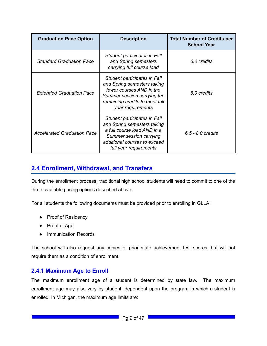| <b>Graduation Pace Option</b>      | <b>Description</b>                                                                                                                                                              | <b>Total Number of Credits per</b><br><b>School Year</b> |
|------------------------------------|---------------------------------------------------------------------------------------------------------------------------------------------------------------------------------|----------------------------------------------------------|
| <b>Standard Graduation Pace</b>    | Student participates in Fall<br>and Spring semesters<br>carrying full course load                                                                                               | 6.0 credits                                              |
| <b>Extended Graduation Pace</b>    | Student participates in Fall<br>and Spring semesters taking<br>fewer courses AND in the<br>Summer session carrying the<br>remaining credits to meet full<br>year requirements   | 6.0 credits                                              |
| <b>Accelerated Graduation Pace</b> | Student participates in Fall<br>and Spring semesters taking<br>a full course load AND in a<br>Summer session carrying<br>additional courses to exceed<br>full year requirements | 6.5 - 8.0 credits                                        |

### **2.4 Enrollment, Withdrawal, and Transfers**

During the enrollment process, traditional high school students will need to commit to one of the three available pacing options described above.

For all students the following documents must be provided prior to enrolling in GLLA:

- Proof of Residency
- Proof of Age
- Immunization Records

The school will also request any copies of prior state achievement test scores, but will not require them as a condition of enrollment.

#### <span id="page-8-0"></span>**2.4.1 Maximum Age to Enroll**

The maximum enrollment age of a student is determined by state law. The maximum enrollment age may also vary by student, dependent upon the program in which a student is enrolled. In Michigan, the maximum age limits are: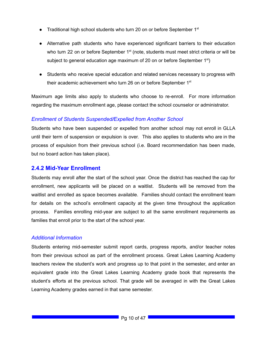- Traditional high school students who turn 20 on or before September 1<sup>st</sup>
- Alternative path students who have experienced significant barriers to their education who turn 22 on or before September 1<sup>st</sup> (note, students must meet strict criteria or will be subject to general education age maximum of 20 on or before September  $1<sup>st</sup>$ )
- Students who receive special education and related services necessary to progress with their academic achievement who turn 26 on or before September 1<sup>st</sup>

Maximum age limits also apply to students who choose to re-enroll. For more information regarding the maximum enrollment age, please contact the school counselor or administrator.

#### *Enrollment of Students Suspended/Expelled from Another School*

Students who have been suspended or expelled from another school may not enroll in GLLA until their term of suspension or expulsion is over. This also applies to students who are in the process of expulsion from their previous school (i.e. Board recommendation has been made, but no board action has taken place).

#### <span id="page-9-0"></span>**2.4.2 Mid-Year Enrollment**

Students may enroll after the start of the school year. Once the district has reached the cap for enrollment, new applicants will be placed on a waitlist. Students will be removed from the waitlist and enrolled as space becomes available. Families should contact the enrollment team for details on the school's enrollment capacity at the given time throughout the application process. Families enrolling mid-year are subject to all the same enrollment requirements as families that enroll prior to the start of the school year.

#### *Additional Information*

Students entering mid-semester submit report cards, progress reports, and/or teacher notes from their previous school as part of the enrollment process. Great Lakes Learning Academy teachers review the student's work and progress up to that point in the semester, and enter an equivalent grade into the Great Lakes Learning Academy grade book that represents the student's efforts at the previous school. That grade will be averaged in with the Great Lakes Learning Academy grades earned in that same semester.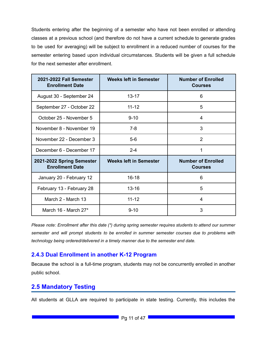Students entering after the beginning of a semester who have not been enrolled or attending classes at a previous school (and therefore do not have a current schedule to generate grades to be used for averaging) will be subject to enrollment in a reduced number of courses for the semester entering based upon individual circumstances. Students will be given a full schedule for the next semester after enrollment.

| 2021-2022 Fall Semester<br><b>Enrollment Date</b>   | <b>Weeks left in Semester</b> | <b>Number of Enrolled</b><br><b>Courses</b> |
|-----------------------------------------------------|-------------------------------|---------------------------------------------|
| August 30 - September 24                            | $13 - 17$                     | 6                                           |
| September 27 - October 22                           | $11 - 12$                     | 5                                           |
| October 25 - November 5                             | $9 - 10$                      | 4                                           |
| November 8 - November 19                            | $7-8$                         | 3                                           |
| November 22 - December 3                            | $5-6$                         | $\overline{2}$                              |
| December 6 - December 17                            | $2 - 4$                       | 1                                           |
| 2021-2022 Spring Semester<br><b>Enrollment Date</b> | <b>Weeks left in Semester</b> | <b>Number of Enrolled</b><br><b>Courses</b> |
| January 20 - February 12                            | $16 - 18$                     | 6                                           |
| February 13 - February 28                           | $13 - 16$                     | 5                                           |
| March 2 - March 13                                  | $11 - 12$                     | 4                                           |
| March 16 - March 27*                                | $9 - 10$                      | 3                                           |

*Please note: Enrollment after this date (\*) during spring semester requires students to attend our summer semester and will prompt students to be enrolled in summer semester courses due to problems with technology being ordered/delivered in a timely manner due to the semester end date.*

#### <span id="page-10-0"></span>**2.4.3 Dual Enrollment in another K-12 Program**

Because the school is a full-time program, students may not be concurrently enrolled in another public school.

### <span id="page-10-1"></span>**2.5 Mandatory Testing**

All students at GLLA are required to participate in state testing. Currently, this includes the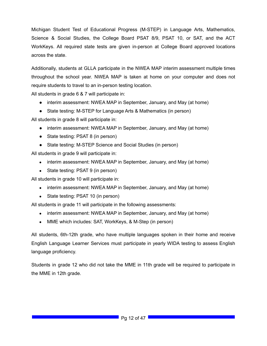Michigan Student Test of Educational Progress (M-STEP) in Language Arts, Mathematics, Science & Social Studies, the College Board PSAT 8/9, PSAT 10, or SAT, and the ACT WorkKeys. All required state tests are given in-person at College Board approved locations across the state.

Additionally, students at GLLA participate in the NWEA MAP interim assessment multiple times throughout the school year. NWEA MAP is taken at home on your computer and does not require students to travel to an in-person testing location.

All students in grade 6 & 7 will participate in:

- interim assessment: NWEA MAP in September, January, and May (at home)
- State testing: M-STEP for Language Arts & Mathematics (in person)

All students in grade 8 will participate in:

- interim assessment: NWEA MAP in September, January, and May (at home)
- State testing: PSAT 8 (in person)
- State testing: M-STEP Science and Social Studies (in person)

All students in grade 9 will participate in:

- interim assessment: NWEA MAP in September, January, and May (at home)
- State testing: PSAT 9 (in person)

All students in grade 10 will participate in:

- interim assessment: NWEA MAP in September, January, and May (at home)
- State testing: PSAT 10 (in person)

All students in grade 11 will participate in the following assessments:

- interim assessment: NWEA MAP in September, January, and May (at home)
- MME which includes: SAT, WorkKeys, & M-Step (in person)

All students, 6th-12th grade, who have multiple languages spoken in their home and receive English Language Learner Services must participate in yearly WIDA testing to assess English language proficiency.

Students in grade 12 who did not take the MME in 11th grade will be required to participate in the MME in 12th grade.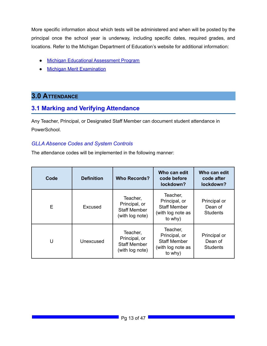More specific information about which tests will be administered and when will be posted by the principal once the school year is underway, including specific dates, required grades, and locations. Refer to the Michigan Department of Education's website for additional information:

- Michigan Educational [Assessment](http://www.michigan.gov/meap) Program
- Michigan Merit [Examination](http://www.michigan.gov/mme)

### **3.0 ATTENDANCE**

### <span id="page-12-0"></span>**3.1 Marking and Verifying Attendance**

Any Teacher, Principal, or Designated Staff Member can document student attendance in PowerSchool.

#### *GLLA Absence Codes and System Controls*

The attendance codes will be implemented in the following manner:

| Code | <b>Definition</b> | <b>Who Records?</b>                                                 | Who can edit<br>code before<br>lockdown?                                         | Who can edit<br>code after<br>lockdown?    |
|------|-------------------|---------------------------------------------------------------------|----------------------------------------------------------------------------------|--------------------------------------------|
| E    | Excused           | Teacher,<br>Principal, or<br><b>Staff Member</b><br>(with log note) | Teacher,<br>Principal, or<br><b>Staff Member</b><br>(with log note as<br>to why) | Principal or<br>Dean of<br><b>Students</b> |
| U    | Unexcused         | Teacher,<br>Principal, or<br><b>Staff Member</b><br>(with log note) | Teacher,<br>Principal, or<br><b>Staff Member</b><br>(with log note as<br>to why) | Principal or<br>Dean of<br><b>Students</b> |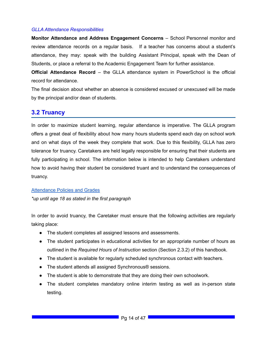#### *GLLA Attendance Responsibilities*

**Monitor Attendance and Address Engagement Concerns** – School Personnel monitor and review attendance records on a regular basis. If a teacher has concerns about a student's attendance, they may: speak with the building Assistant Principal, speak with the Dean of Students, or place a referral to the Academic Engagement Team for further assistance.

**Official Attendance Record** – the GLLA attendance system in PowerSchool is the official record for attendance.

The final decision about whether an absence is considered excused or unexcused will be made by the principal and/or dean of students.

### **3.2 Truancy**

In order to maximize student learning, regular attendance is imperative. The GLLA program offers a great deal of flexibility about how many hours students spend each day on school work and on what days of the week they complete that work. Due to this flexibility, GLLA has zero tolerance for truancy. Caretakers are held legally responsible for ensuring that their students are fully participating in school. The information below is intended to help Caretakers understand how to avoid having their student be considered truant and to understand the consequences of truancy.

#### [Attendance](https://www.michigan.gov/documents/mde/compulsory_attendance_257944_7.pdf) Policies and Grades

*\*up until age 18 as stated in the first paragraph*

In order to avoid truancy, the Caretaker must ensure that the following activities are regularly taking place:

- The student completes all assigned lessons and assessments.
- The student participates in educational activities for an appropriate number of hours as outlined in the *Required Hours of Instruction* section (Section 2.3.2) of this handbook.
- The student is available for regularly scheduled synchronous contact with teachers.
- The student attends all assigned Synchronous® sessions.
- The student is able to demonstrate that they are doing their own schoolwork.
- The student completes mandatory online interim testing as well as in-person state testing.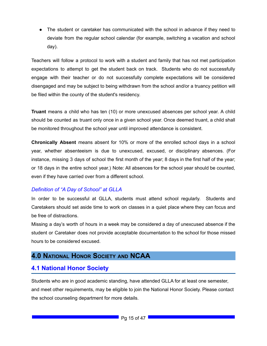• The student or caretaker has communicated with the school in advance if they need to deviate from the regular school calendar (for example, switching a vacation and school day).

Teachers will follow a protocol to work with a student and family that has not met participation expectations to attempt to get the student back on track. Students who do not successfully engage with their teacher or do not successfully complete expectations will be considered disengaged and may be subject to being withdrawn from the school and/or a truancy petition will be filed within the county of the student's residency.

**Truant** means a child who has ten (10) or more unexcused absences per school year. A child should be counted as truant only once in a given school year. Once deemed truant, a child shall be monitored throughout the school year until improved attendance is consistent.

**Chronically Absent** means absent for 10% or more of the enrolled school days in a school year, whether absenteeism is due to unexcused, excused, or disciplinary absences. (For instance, missing 3 days of school the first month of the year; 8 days in the first half of the year; or 18 days in the entire school year.) Note: All absences for the school year should be counted, even if they have carried over from a different school.

#### *Definition of "A Day of School" at GLLA*

In order to be successful at GLLA, students must attend school regularly. Students and Caretakers should set aside time to work on classes in a quiet place where they can focus and be free of distractions.

Missing a day's worth of hours in a week may be considered a day of unexcused absence if the student or Caretaker does not provide acceptable documentation to the school for those missed hours to be considered excused.

### <span id="page-14-0"></span>**4.0 NATIONAL HONOR SOCIETY AND NCAA**

### <span id="page-14-1"></span>**4.1 National Honor Society**

Students who are in good academic standing, have attended GLLA for at least one semester, and meet other requirements, may be eligible to join the National Honor Society. Please contact the school counseling department for more details.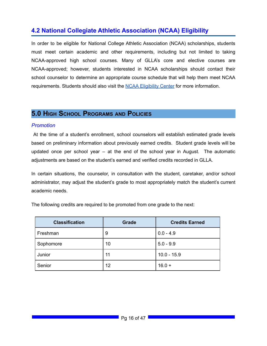## <span id="page-15-0"></span>**4.2 National Collegiate Athletic Association (NCAA) Eligibility**

In order to be eligible for National College Athletic Association (NCAA) scholarships, students must meet certain academic and other requirements, including but not limited to taking NCAA-approved high school courses. Many of GLLA's core and elective courses are NCAA-approved; however, students interested in NCAA scholarships should contact their school counselor to determine an appropriate course schedule that will help them meet NCAA requirements. Students should also visit the NCAA [Eligibility](https://web3.ncaa.org/ecwr3/) Center for more information.

### <span id="page-15-1"></span>**5.0 HIGH SCHOOL PROGRAMS AND POLICIES**

#### *Promotion*

At the time of a student's enrollment, school counselors will establish estimated grade levels based on preliminary information about previously earned credits. Student grade levels will be updated once per school year – at the end of the school year in August. The automatic adjustments are based on the student's earned and verified credits recorded in GLLA.

In certain situations, the counselor, in consultation with the student, caretaker, and/or school administrator, may adjust the student's grade to most appropriately match the student's current academic needs.

| <b>Classification</b> | <b>Grade</b> | <b>Credits Earned</b> |
|-----------------------|--------------|-----------------------|
| Freshman              | 9            | $0.0 - 4.9$           |
| Sophomore             | 10           | $5.0 - 9.9$           |
| Junior                | 11           | $10.0 - 15.9$         |
| Senior                | 12           | $16.0 +$              |

The following credits are required to be promoted from one grade to the next: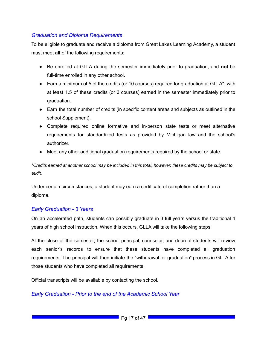#### *Graduation and Diploma Requirements*

To be eligible to graduate and receive a diploma from Great Lakes Learning Academy, a student must meet **all** of the following requirements:

- Be enrolled at GLLA during the semester immediately prior to graduation, and **not** be full-time enrolled in any other school.
- Earn a minimum of 5 of the credits (or 10 courses) required for graduation at GLLA\*, with at least 1.5 of these credits (or 3 courses) earned in the semester immediately prior to graduation.
- Earn the total number of credits (in specific content areas and subjects as outlined in the school Supplement).
- Complete required online formative and in-person state tests or meet alternative requirements for standardized tests as provided by Michigan law and the school's authorizer.
- Meet any other additional graduation requirements required by the school or state.

\*Credits earned at another school may be included in this total, however, these credits may be subject to *audit.*

Under certain circumstances, a student may earn a certificate of completion rather than a diploma.

#### *Early Graduation - 3 Years*

On an accelerated path, students can possibly graduate in 3 full years versus the traditional 4 years of high school instruction. When this occurs, GLLA will take the following steps:

At the close of the semester, the school principal, counselor, and dean of students will review each senior's records to ensure that these students have completed all graduation requirements. The principal will then initiate the "withdrawal for graduation" process in GLLA for those students who have completed all requirements.

Official transcripts will be available by contacting the school.

#### *Early Graduation - Prior to the end of the Academic School Year*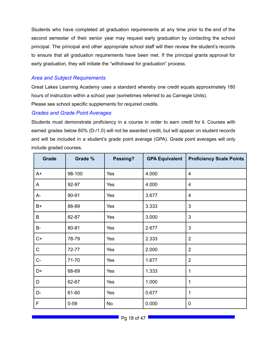Students who have completed all graduation requirements at any time prior to the end of the second semester of their senior year may request early graduation by contacting the school principal. The principal and other appropriate school staff will then review the student's records to ensure that all graduation requirements have been met. If the principal grants approval for early graduation, they will initiate the "withdrawal for graduation" process.

#### *Area and Subject Requirements*

Great Lakes Learning Academy uses a standard whereby one credit equals approximately 180 hours of instruction within a school year (sometimes referred to as Carnegie Units). Please see school specific supplements for required credits.

#### *Grades and Grade Point Averages*

Students must demonstrate proficiency in a course in order to earn credit for it. Courses with earned grades below 60% (D-/1.0) will not be awarded credit, but will appear on student records and will be included in a student's grade point average (GPA). Grade point averages will only include graded courses.

| <b>Grade</b> | Grade %  | Passing? | <b>GPA Equivalent</b> | <b>Proficiency Scale Points</b> |
|--------------|----------|----------|-----------------------|---------------------------------|
| A+           | 98-100   | Yes      | 4.000                 | $\overline{4}$                  |
| A            | 92-97    | Yes      | 4.000                 | $\overline{4}$                  |
| A-           | 90-91    | Yes      | 3.677                 | $\overline{4}$                  |
| $B+$         | 88-89    | Yes      | 3.333                 | $\mathfrak{S}$                  |
| B            | 82-87    | Yes      | 3.000                 | 3                               |
| B-           | 80-81    | Yes      | 2.677                 | 3                               |
| $C+$         | 78-79    | Yes      | 2.333                 | $\overline{2}$                  |
| $\mathsf C$  | 72-77    | Yes      | 2.000                 | $\overline{2}$                  |
| $C-$         | 71-70    | Yes      | 1.677                 | $\overline{2}$                  |
| D+           | 68-69    | Yes      | 1.333                 | 1                               |
| D            | 62-67    | Yes      | 1.000                 | 1                               |
| D-           | 61-60    | Yes      | 0.677                 | 1                               |
| F            | $0 - 59$ | No       | 0.000                 | $\mathbf 0$                     |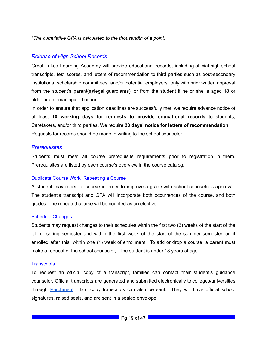*\*The cumulative GPA is calculated to the thousandth of a point.*

#### *Release of High School Records*

Great Lakes Learning Academy will provide educational records, including official high school transcripts, test scores, and letters of recommendation to third parties such as post-secondary institutions, scholarship committees, and/or potential employers, only with prior written approval from the student's parent(s)/legal guardian(s), or from the student if he or she is aged 18 or older or an emancipated minor.

In order to ensure that application deadlines are successfully met, we require advance notice of at least **10 working days for requests to provide educational records** to students, Caretakers, and/or third parties. We require **30 days' notice for letters of recommendation**. Requests for records should be made in writing to the school counselor.

#### *Prerequisites*

Students must meet all course prerequisite requirements prior to registration in them. Prerequisites are listed by each course's overview in the course catalog.

#### Duplicate Course Work: Repeating a Course

A student may repeat a course in order to improve a grade with school counselor's approval. The student's transcript and GPA will incorporate both occurrences of the course, and both grades. The repeated course will be counted as an elective.

#### Schedule Changes

Students may request changes to their schedules within the first two (2) weeks of the start of the fall or spring semester and within the first week of the start of the summer semester, or, if enrolled after this, within one (1) week of enrollment. To add or drop a course, a parent must make a request of the school counselor, if the student is under 18 years of age.

#### **Transcripts**

To request an official copy of a transcript, families can contact their student's guidance counselor. Official transcripts are generated and submitted electronically to colleges/universities through **[Parchment](https://www.parchment.com/u/registration/9401711/account)**. Hard copy transcripts can also be sent. They will have official school signatures, raised seals, and are sent in a sealed envelope.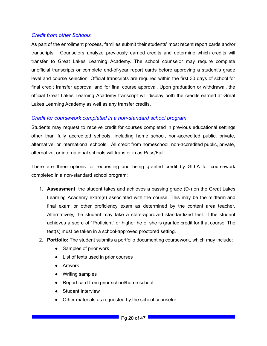#### *Credit from other Schools*

As part of the enrollment process, families submit their students' most recent report cards and/or transcripts. Counselors analyze previously earned credits and determine which credits will transfer to Great Lakes Learning Academy. The school counselor may require complete unofficial transcripts or complete end-of-year report cards before approving a student's grade level and course selection. Official transcripts are required within the first 30 days of school for final credit transfer approval and for final course approval. Upon graduation or withdrawal, the official Great Lakes Learning Academy transcript will display both the credits earned at Great Lakes Learning Academy as well as any transfer credits.

#### *Credit for coursework completed in a non-standard school program*

Students may request to receive credit for courses completed in previous educational settings other than fully accredited schools, including home school, non-accredited public, private, alternative, or international schools. All credit from homeschool, non-accredited public, private, alternative, or international schools will transfer in as Pass/Fail.

There are three options for requesting and being granted credit by GLLA for coursework completed in a non-standard school program:

- 1. **Assessment**: the student takes and achieves a passing grade (D-) on the Great Lakes Learning Academy exam(s) associated with the course. This may be the midterm and final exam or other proficiency exam as determined by the content area teacher. Alternatively, the student may take a state-approved standardized test. If the student achieves a score of "Proficient" or higher he or she is granted credit for that course. The test(s) must be taken in a school-approved proctored setting.
- 2. **Portfolio:** The student submits a portfolio documenting coursework, which may include:
	- Samples of prior work
	- List of texts used in prior courses
	- Artwork
	- Writing samples
	- Report card from prior school/home school
	- Student Interview
	- Other materials as requested by the school counselor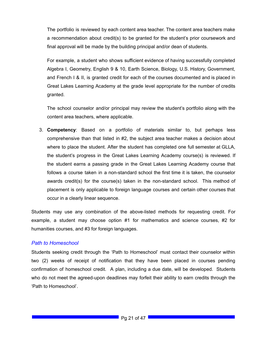The portfolio is reviewed by each content area teacher. The content area teachers make a recommendation about credit(s) to be granted for the student's prior coursework and final approval will be made by the building principal and/or dean of students.

For example, a student who shows sufficient evidence of having successfully completed Algebra I, Geometry, English 9 & 10, Earth Science, Biology, U.S. History, Government, and French I & II, is granted credit for each of the courses documented and is placed in Great Lakes Learning Academy at the grade level appropriate for the number of credits granted.

The school counselor and/or principal may review the student's portfolio along with the content area teachers, where applicable.

3. **Competency**: Based on a portfolio of materials similar to, but perhaps less comprehensive than that listed in #2, the subject area teacher makes a decision about where to place the student. After the student has completed one full semester at GLLA, the student's progress in the Great Lakes Learning Academy course(s) is reviewed. If the student earns a passing grade in the Great Lakes Learning Academy course that follows a course taken in a non-standard school the first time it is taken, the counselor awards credit(s) for the course(s) taken in the non-standard school. This method of placement is only applicable to foreign language courses and certain other courses that occur in a clearly linear sequence.

Students may use any combination of the above-listed methods for requesting credit. For example, a student may choose option #1 for mathematics and science courses, #2 for humanities courses, and #3 for foreign languages.

#### *Path to Homeschool*

Students seeking credit through the 'Path to Homeschool' must contact their counselor within two (2) weeks of receipt of notification that they have been placed in courses pending confirmation of homeschool credit. A plan, including a due date, will be developed. Students who do not meet the agreed-upon deadlines may forfeit their ability to earn credits through the 'Path to Homeschool'.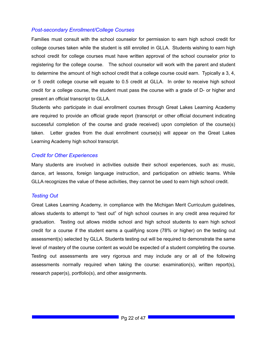#### *Post-secondary Enrollment/College Courses*

Families must consult with the school counselor for permission to earn high school credit for college courses taken while the student is still enrolled in GLLA. Students wishing to earn high school credit for college courses must have written approval of the school counselor prior to registering for the college course. The school counselor will work with the parent and student to determine the amount of high school credit that a college course could earn. Typically a 3, 4, or 5 credit college course will equate to 0.5 credit at GLLA. In order to receive high school credit for a college course, the student must pass the course with a grade of D- or higher and present an official transcript to GLLA.

Students who participate in dual enrollment courses through Great Lakes Learning Academy are required to provide an official grade report (transcript or other official document indicating successful completion of the course and grade received) upon completion of the course(s) taken. Letter grades from the dual enrollment course(s) will appear on the Great Lakes Learning Academy high school transcript.

#### *Credit for Other Experiences*

Many students are involved in activities outside their school experiences, such as: music, dance, art lessons, foreign language instruction, and participation on athletic teams. While GLLA recognizes the value of these activities, they cannot be used to earn high school credit.

#### *Testing Out*

Great Lakes Learning Academy, in compliance with the Michigan Merit Curriculum guidelines, allows students to attempt to "test out" of high school courses in any credit area required for graduation. Testing out allows middle school and high school students to earn high school credit for a course if the student earns a qualifying score (78% or higher) on the testing out assessment(s) selected by GLLA. Students testing out will be required to demonstrate the same level of mastery of the course content as would be expected of a student completing the course. Testing out assessments are very rigorous and may include any or all of the following assessments normally required when taking the course: examination(s), written report(s), research paper(s), portfolio(s), and other assignments.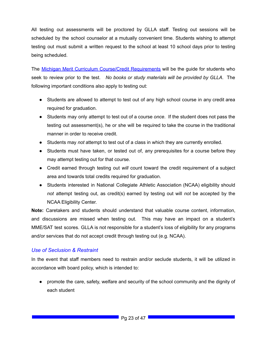All testing out assessments will be proctored by GLLA staff. Testing out sessions will be scheduled by the school counselor at a mutually convenient time. Students wishing to attempt testing out must submit a written request to the school at least 10 school days prior to testing being scheduled.

The Michigan Merit Curriculum Course/Credit [Requirements](http://www.michigan.gov/mde) will be the guide for students who seek to review prior to the test. *No books or study materials will be provided by GLLA*. The following important conditions also apply to testing out:

- Students are allowed to attempt to test out of any high school course in any credit area required for graduation.
- Students may only attempt to test out of a course *once*. If the student does not pass the testing out assessment(s), he or she will be required to take the course in the traditional manner in order to receive credit.
- Students may *not* attempt to test out of a class in which they are currently enrolled.
- Students must have taken, or tested out of, any prerequisites for a course before they may attempt testing out for that course.
- Credit earned through testing out *will* count toward the credit requirement of a subject area and towards total credits required for graduation.
- Students interested in National Collegiate Athletic Association (NCAA) eligibility should *not* attempt testing out, as credit(s) earned by testing out will *not* be accepted by the NCAA Eligibility Center.

**Note:** Caretakers and students should understand that valuable course content, information, and discussions are missed when testing out. This may have an impact on a student's MME/SAT test scores. GLLA is not responsible for a student's loss of eligibility for any programs and/or services that do not accept credit through testing out (e.g. NCAA).

#### *Use of Seclusion & Restraint*

In the event that staff members need to restrain and/or seclude students, it will be utilized in accordance with board policy, which is intended to:

● promote the care, safety, welfare and security of the school community and the dignity of each student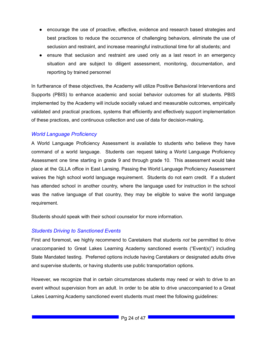- encourage the use of proactive, effective, evidence and research based strategies and best practices to reduce the occurrence of challenging behaviors, eliminate the use of seclusion and restraint, and increase meaningful instructional time for all students; and
- ensure that seclusion and restraint are used only as a last resort in an emergency situation and are subject to diligent assessment, monitoring, documentation, and reporting by trained personnel

In furtherance of these objectives, the Academy will utilize Positive Behavioral Interventions and Supports (PBIS) to enhance academic and social behavior outcomes for all students. PBIS implemented by the Academy will include socially valued and measurable outcomes, empirically validated and practical practices, systems that efficiently and effectively support implementation of these practices, and continuous collection and use of data for decision-making.

#### *World Language Proficiency*

A World Language Proficiency Assessment is available to students who believe they have command of a world language. Students can request taking a World Language Proficiency Assessment one time starting in grade 9 and through grade 10. This assessment would take place at the GLLA office in East Lansing. Passing the World Language Proficiency Assessment waives the high school world language requirement. Students do not earn credit. If a student has attended school in another country, where the language used for instruction in the school was the native language of that country, they may be eligible to waive the world language requirement.

Students should speak with their school counselor for more information.

#### *Students Driving to Sanctioned Events*

First and foremost, we highly recommend to Caretakers that students *not* be permitted to drive unaccompanied to Great Lakes Learning Academy sanctioned events ("Event(s)") including State Mandated testing. Preferred options include having Caretakers or designated adults drive and supervise students, or having students use public transportation options.

However, we recognize that in certain circumstances students may need or wish to drive to an event without supervision from an adult. In order to be able to drive unaccompanied to a Great Lakes Learning Academy sanctioned event students must meet the following guidelines: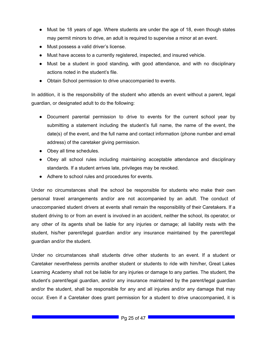- Must be 18 years of age. Where students are under the age of 18, even though states may permit minors to drive, an adult is required to supervise a minor at an event.
- Must possess a valid driver's license.
- Must have access to a currently registered, inspected, and insured vehicle.
- Must be a student in good standing, with good attendance, and with no disciplinary actions noted in the student's file.
- Obtain School permission to drive unaccompanied to events.

In addition, it is the responsibility of the student who attends an event without a parent, legal guardian, or designated adult to do the following:

- Document parental permission to drive to events for the current school year by submitting a statement including the student's full name, the name of the event, the date(s) of the event, and the full name and contact information (phone number and email address) of the caretaker giving permission.
- Obey all time schedules.
- Obey all school rules including maintaining acceptable attendance and disciplinary standards. If a student arrives late, privileges may be revoked.
- Adhere to school rules and procedures for events.

Under no circumstances shall the school be responsible for students who make their own personal travel arrangements and/or are not accompanied by an adult. The conduct of unaccompanied student drivers at events shall remain the responsibility of their Caretakers. If a student driving to or from an event is involved in an accident, neither the school, its operator, or any other of its agents shall be liable for any injuries or damage; all liability rests with the student, his/her parent/legal guardian and/or any insurance maintained by the parent/legal guardian and/or the student.

Under no circumstances shall students drive other students to an event. If a student or Caretaker nevertheless permits another student or students to ride with him/her, Great Lakes Learning Academy shall not be liable for any injuries or damage to any parties. The student, the student's parent/legal guardian, and/or any insurance maintained by the parent/legal guardian and/or the student, shall be responsible for any and all injuries and/or any damage that may occur. Even if a Caretaker does grant permission for a student to drive unaccompanied, it is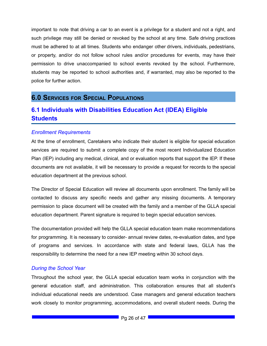important to note that driving a car to an event is a privilege for a student and not a right, and such privilege may still be denied or revoked by the school at any time. Safe driving practices must be adhered to at all times. Students who endanger other drivers, individuals, pedestrians, or property, and/or do not follow school rules and/or procedures for events, may have their permission to drive unaccompanied to school events revoked by the school. Furthermore, students may be reported to school authorities and, if warranted, may also be reported to the police for further action.

### <span id="page-25-0"></span>**6.0 SERVICES FOR SPECIAL POPULATIONS**

### <span id="page-25-1"></span>**6.1 Individuals with Disabilities Education Act (IDEA) Eligible Students**

#### *Enrollment Requirements*

At the time of enrollment, Caretakers who indicate their student is eligible for special education services are required to submit a complete copy of the most recent Individualized Education Plan (IEP) including any medical, clinical, and or evaluation reports that support the IEP. If these documents are not available, it will be necessary to provide a request for records to the special education department at the previous school.

The Director of Special Education will review all documents upon enrollment. The family will be contacted to discuss any specific needs and gather any missing documents. A temporary permission to place document will be created with the family and a member of the GLLA special education department. Parent signature is required to begin special education services.

The documentation provided will help the GLLA special education team make recommendations for programming. It is necessary to consider- annual review dates, re-evaluation dates, and type of programs and services. In accordance with state and federal laws, GLLA has the responsibility to determine the need for a new IEP meeting within 30 school days.

#### *During the School Year*

Throughout the school year, the GLLA special education team works in conjunction with the general education staff, and administration. This collaboration ensures that all student's individual educational needs are understood. Case managers and general education teachers work closely to monitor programming, accommodations, and overall student needs. During the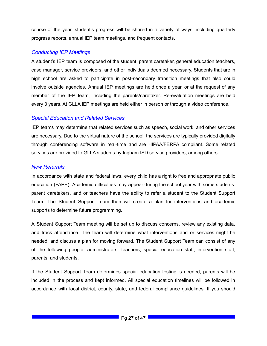course of the year, student's progress will be shared in a variety of ways; including quarterly progress reports, annual IEP team meetings, and frequent contacts.

#### *Conducting IEP Meetings*

A student's IEP team is composed of the student, parent caretaker, general education teachers, case manager, service providers, and other individuals deemed necessary. Students that are in high school are asked to participate in post-secondary transition meetings that also could involve outside agencies. Annual IEP meetings are held once a year, or at the request of any member of the IEP team, including the parents/caretaker. Re-evaluation meetings are held every 3 years. At GLLA IEP meetings are held either in person or through a video conference.

#### *Special Education and Related Services*

IEP teams may determine that related services such as speech, social work, and other services are necessary. Due to the virtual nature of the school, the services are typically provided digitally through conferencing software in real-time and are HIPAA/FERPA compliant. Some related services are provided to GLLA students by Ingham ISD service providers, among others.

#### *New Referrals*

In accordance with state and federal laws, every child has a right to free and appropriate public education (FAPE). Academic difficulties may appear during the school year with some students. parent caretakers, and or teachers have the ability to refer a student to the Student Support Team. The Student Support Team then will create a plan for interventions and academic supports to determine future programming.

A Student Support Team meeting will be set up to discuss concerns, review any existing data, and track attendance. The team will determine what interventions and or services might be needed, and discuss a plan for moving forward. The Student Support Team can consist of any of the following people: administrators, teachers, special education staff, intervention staff, parents, and students.

If the Student Support Team determines special education testing is needed, parents will be included in the process and kept informed. All special education timelines will be followed in accordance with local district, county, state, and federal compliance guidelines. If you should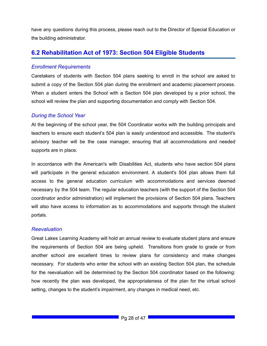have any questions during this process, please reach out to the Director of Special Education or the building administrator.

### <span id="page-27-0"></span>**6.2 Rehabilitation Act of 1973: Section 504 Eligible Students**

#### *Enrollment Requirements*

Caretakers of students with Section 504 plans seeking to enroll in the school are asked to submit a copy of the Section 504 plan during the enrollment and academic placement process. When a student enters the School with a Section 504 plan developed by a prior school, the school will review the plan and supporting documentation and comply with Section 504.

#### *During the School Year*

At the beginning of the school year, the 504 Coordinator works with the building principals and teachers to ensure each student's 504 plan is easily understood and accessible. The student's advisory teacher will be the case manager, ensuring that all accommodations and needed supports are in place.

In accordance with the American's with Disabilities Act, students who have section 504 plans will participate in the general education environment. A student's 504 plan allows them full access to the general education curriculum with accommodations and services deemed necessary by the 504 team. The regular education teachers (with the support of the Section 504 coordinator and/or administration) will implement the provisions of Section 504 plans. Teachers will also have access to information as to accommodations and supports through the student portals.

#### *Reevaluation*

Great Lakes Learning Academy will hold an annual review to evaluate student plans and ensure the requirements of Section 504 are being upheld. Transitions from grade to grade or from another school are excellent times to review plans for consistency and make changes necessary. For students who enter the school with an existing Section 504 plan, the schedule for the reevaluation will be determined by the Section 504 coordinator based on the following: how recently the plan was developed, the appropriateness of the plan for the virtual school setting, changes to the student's impairment, any changes in medical need, etc.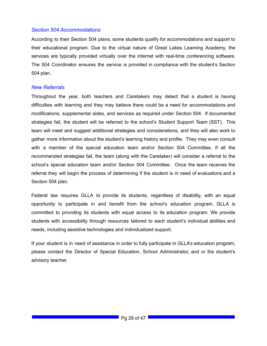#### *Section 504 Accommodations*

According to their Section 504 plans, some students qualify for accommodations and support to their educational program. Due to the virtual nature of Great Lakes Learning Academy, the services are typically provided virtually over the internet with real-time conferencing software. The 504 Coordinator ensures the service is provided in compliance with the student's Section 504 plan.

#### *New Referrals*

Throughout the year, both teachers and Caretakers may detect that a student is having difficulties with learning and they may believe there could be a need for accommodations and modifications, supplemental aides, and services as required under Section 504. If documented strategies fail, the student will be referred to the school's Student Support Team (SST). This team will meet and suggest additional strategies and considerations, and they will also work to gather more information about the student's learning history and profile. They may even consult with a member of the special education team and/or Section 504 Committee. If all the recommended strategies fail, the team (along with the Caretaker) will consider a referral to the school's special education team and/or Section 504 Committee. Once the team receives the referral they will begin the process of determining if the student is in need of evaluations and a Section 504 plan.

Federal law requires GLLA to provide its students, regardless of disability, with an equal opportunity to participate in and benefit from the school's education program. GLLA is committed to providing its students with equal access to its education program. We provide students with accessibility through resources tailored to each student's individual abilities and needs, including assistive technologies and individualized support.

If your student is in need of assistance in order to fully participate in GLLA's education program, please contact the Director of Special Education, School Administrator, and or the student's advisory teacher.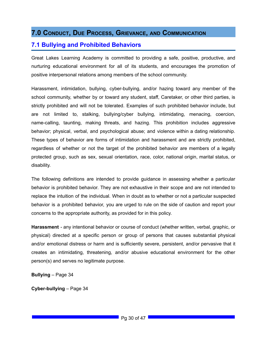### <span id="page-29-0"></span>**7.0 CONDUCT, DUE PROCESS, GRIEVANCE, AND COMMUNICATION**

### <span id="page-29-1"></span>**7.1 Bullying and Prohibited Behaviors**

Great Lakes Learning Academy is committed to providing a safe, positive, productive, and nurturing educational environment for all of its students, and encourages the promotion of positive interpersonal relations among members of the school community.

Harassment, intimidation, bullying, cyber-bullying, and/or hazing toward any member of the school community, whether by or toward any student, staff, Caretaker, or other third parties, is strictly prohibited and will not be tolerated. Examples of such prohibited behavior include, but are not limited to, stalking, bullying/cyber bullying, intimidating, menacing, coercion, name-calling, taunting, making threats, and hazing. This prohibition includes aggressive behavior; physical, verbal, and psychological abuse; and violence within a dating relationship. These types of behavior are forms of intimidation and harassment and are strictly prohibited, regardless of whether or not the target of the prohibited behavior are members of a legally protected group, such as sex, sexual orientation, race, color, national origin, marital status, or disability.

The following definitions are intended to provide guidance in assessing whether a particular behavior is prohibited behavior. They are not exhaustive in their scope and are not intended to replace the intuition of the individual. When in doubt as to whether or not a particular suspected behavior is a prohibited behavior, you are urged to rule on the side of caution and report your concerns to the appropriate authority, as provided for in this policy.

**Harassment** - any intentional behavior or course of conduct (whether written, verbal, graphic, or physical) directed at a specific person or group of persons that causes substantial physical and/or emotional distress or harm and is sufficiently severe, persistent, and/or pervasive that it creates an intimidating, threatening, and/or abusive educational environment for the other person(s) and serves no legitimate purpose.

**Bullying** – Page 34

**Cyber-bullying** – Page 34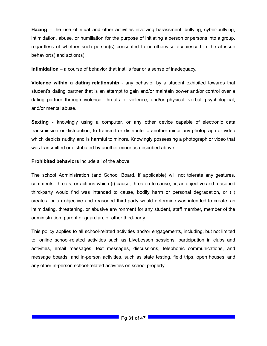**Hazing** – the use of ritual and other activities involving harassment, bullying, cyber-bullying, intimidation, abuse, or humiliation for the purpose of initiating a person or persons into a group, regardless of whether such person(s) consented to or otherwise acquiesced in the at issue behavior(s) and action(s).

**Intimidation** – a course of behavior that instills fear or a sense of inadequacy.

**Violence within a dating relationship** - any behavior by a student exhibited towards that student's dating partner that is an attempt to gain and/or maintain power and/or control over a dating partner through violence, threats of violence, and/or physical, verbal, psychological, and/or mental abuse.

**Sexting** - knowingly using a computer, or any other device capable of electronic data transmission or distribution, to transmit or distribute to another minor any photograph or video which depicts nudity and is harmful to minors. Knowingly possessing a photograph or video that was transmitted or distributed by another minor as described above.

**Prohibited behaviors** include all of the above.

The school Administration (and School Board, if applicable) will not tolerate any gestures, comments, threats, or actions which (i) cause, threaten to cause, or, an objective and reasoned third-party would find was intended to cause, bodily harm or personal degradation, or (ii) creates, or an objective and reasoned third-party would determine was intended to create, an intimidating, threatening, or abusive environment for any student, staff member, member of the administration, parent or guardian, or other third-party.

This policy applies to all school-related activities and/or engagements, including, but not limited to, online school-related activities such as LiveLesson sessions, participation in clubs and activities, email messages, text messages, discussions, telephonic communications, and message boards; and in-person activities, such as state testing, field trips, open houses, and any other in-person school-related activities on school property.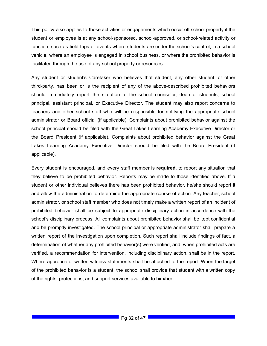This policy also applies to those activities or engagements which occur off school property if the student or employee is at any school-sponsored, school-approved, or school-related activity or function, such as field trips or events where students are under the school's control, in a school vehicle, where an employee is engaged in school business, or where the prohibited behavior is facilitated through the use of any school property or resources.

Any student or student's Caretaker who believes that student, any other student, or other third-party, has been or is the recipient of any of the above-described prohibited behaviors should immediately report the situation to the school counselor, dean of students, school principal, assistant principal, or Executive Director. The student may also report concerns to teachers and other school staff who will be responsible for notifying the appropriate school administrator or Board official (if applicable). Complaints about prohibited behavior against the school principal should be filed with the Great Lakes Learning Academy Executive Director or the Board President (if applicable). Complaints about prohibited behavior against the Great Lakes Learning Academy Executive Director should be filed with the Board President (if applicable).

Every student is encouraged, and every staff member is **required**, to report any situation that they believe to be prohibited behavior. Reports may be made to those identified above. If a student or other individual believes there has been prohibited behavior, he/she should report it and allow the administration to determine the appropriate course of action. Any teacher, school administrator, or school staff member who does not timely make a written report of an incident of prohibited behavior shall be subject to appropriate disciplinary action in accordance with the school's disciplinary process. All complaints about prohibited behavior shall be kept confidential and be promptly investigated. The school principal or appropriate administrator shall prepare a written report of the investigation upon completion. Such report shall include findings of fact, a determination of whether any prohibited behavior(s) were verified, and, when prohibited acts are verified, a recommendation for intervention, including disciplinary action, shall be in the report. Where appropriate, written witness statements shall be attached to the report. When the target of the prohibited behavior is a student, the school shall provide that student with a written copy of the rights, protections, and support services available to him/her.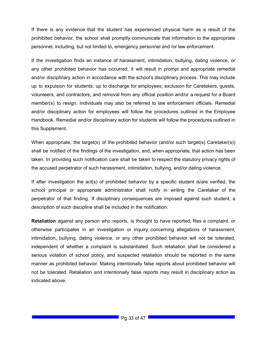If there is any evidence that the student has experienced physical harm as a result of the prohibited behavior, the school shall promptly communicate that information to the appropriate personnel, including, but not limited to, emergency personnel and /or law enforcement.

If the investigation finds an instance of harassment, intimidation, bullying, dating violence, or any other prohibited behavior has occurred, it will result in prompt and appropriate remedial and/or disciplinary action in accordance with the school's disciplinary process. This may include up to expulsion for students; up to discharge for employees; exclusion for Caretakers, guests, volunteers, and contractors; and removal from any official position and/or a request for a Board member(s) to resign. Individuals may also be referred to law enforcement officials. Remedial and/or disciplinary action for employees will follow the procedures outlined in the Employee Handbook. Remedial and/or disciplinary action for students will follow the procedures outlined in this Supplement.

When appropriate, the target(s) of the prohibited behavior (and/or such target(s) Caretaker(s)) shall be notified of the findings of the investigation, and, when appropriate, that action has been taken. In providing such notification care shall be taken to respect the statutory privacy rights of the accused perpetrator of such harassment, intimidation, bullying, and/or dating violence.

If after investigation the act(s) of prohibited behavior by a specific student is/are verified, the school principal or appropriate administrator shall notify in writing the Caretaker of the perpetrator of that finding. If disciplinary consequences are imposed against such student, a description of such discipline shall be included in the notification.

**Retaliation** against any person who reports, is thought to have reported, files a complaint, or otherwise participates in an investigation or inquiry concerning allegations of harassment, intimidation, bullying, dating violence, or any other prohibited behavior will not be tolerated, independent of whether a complaint is substantiated. Such retaliation shall be considered a serious violation of school policy, and suspected retaliation should be reported in the same manner as prohibited behavior. Making intentionally false reports about prohibited behavior will not be tolerated. Retaliation and intentionally false reports may result in disciplinary action as indicated above.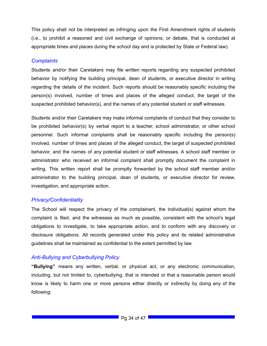This policy shall not be interpreted as infringing upon the First Amendment rights of students (i.e., to prohibit a reasoned and civil exchange of opinions, or debate, that is conducted at appropriate times and places during the school day and is protected by State or Federal law).

#### *Complaints*

Students and/or their Caretakers may file written reports regarding any suspected prohibited behavior by notifying the building principal, dean of students, or executive director in writing regarding the details of the incident. Such reports should be reasonably specific including the person(s) involved, number of times and places of the alleged conduct, the target of the suspected prohibited behavior(s), and the names of any potential student or staff witnesses.

Students and/or their Caretakers may make informal complaints of conduct that they consider to be prohibited behavior(s) by verbal report to a teacher, school administrator, or other school personnel. Such informal complaints shall be reasonably specific including the person(s) involved, number of times and places of the alleged conduct, the target of suspected prohibited behavior, and the names of any potential student or staff witnesses. A school staff member or administrator who received an informal complaint shall promptly document the complaint in writing. This written report shall be promptly forwarded by the school staff member and/or administrator to the building principal, dean of students, or executive director for review, investigation, and appropriate action.

#### *Privacy/Confidentiality*

The School will respect the privacy of the complainant, the individual(s) against whom the complaint is filed, and the witnesses as much as possible, consistent with the school's legal obligations to investigate, to take appropriate action, and to conform with any discovery or disclosure obligations. All records generated under this policy and its related administrative guidelines shall be maintained as confidential to the extent permitted by law.

#### *Anti-Bullying and Cyberbullying Policy*

**"Bullying"** means any written, verbal, or physical act, or any electronic communication, including, but not limited to, cyberbullying, that is intended or that a reasonable person would know is likely to harm one or more persons either directly or indirectly by doing any of the following: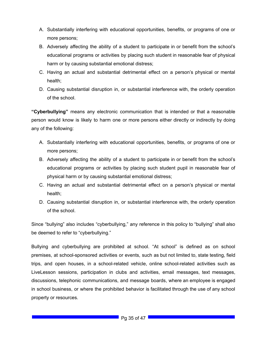- A. Substantially interfering with educational opportunities, benefits, or programs of one or more persons;
- B. Adversely affecting the ability of a student to participate in or benefit from the school's educational programs or activities by placing such student in reasonable fear of physical harm or by causing substantial emotional distress;
- C. Having an actual and substantial detrimental effect on a person's physical or mental health;
- D. Causing substantial disruption in, or substantial interference with, the orderly operation of the school.

**"Cyberbullying"** means any electronic communication that is intended or that a reasonable person would know is likely to harm one or more persons either directly or indirectly by doing any of the following:

- A. Substantially interfering with educational opportunities, benefits, or programs of one or more persons;
- B. Adversely affecting the ability of a student to participate in or benefit from the school's educational programs or activities by placing such student pupil in reasonable fear of physical harm or by causing substantial emotional distress;
- C. Having an actual and substantial detrimental effect on a person's physical or mental health;
- D. Causing substantial disruption in, or substantial interference with, the orderly operation of the school.

Since "bullying" also includes "cyberbullying," any reference in this policy to "bullying" shall also be deemed to refer to "cyberbullying."

Bullying and cyberbullying are prohibited at school. "At school" is defined as on school premises, at school-sponsored activities or events, such as but not limited to, state testing, field trips, and open houses, in a school-related vehicle, online school-related activities such as LiveLesson sessions, participation in clubs and activities, email messages, text messages, discussions, telephonic communications, and message boards, where an employee is engaged in school business, or where the prohibited behavior is facilitated through the use of any school property or resources.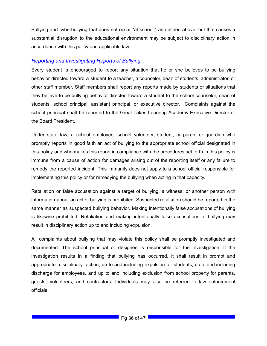Bullying and cyberbullying that does not occur "at school," as defined above, but that causes a substantial disruption to the educational environment may be subject to disciplinary action in accordance with this policy and applicable law.

#### *Reporting and Investigating Reports of Bullying*

Every student is encouraged to report any situation that he or she believes to be bullying behavior directed toward a student to a teacher, a counselor, dean of students, administrator, or other staff member. Staff members shall report any reports made by students or situations that they believe to be bullying behavior directed toward a student to the school counselor, dean of students, school principal, assistant principal, or executive director. Complaints against the school principal shall be reported to the Great Lakes Learning Academy Executive Director or the Board President.

Under state law, a school employee, school volunteer, student, or parent or guardian who promptly reports in good faith an act of bullying to the appropriate school official designated in this policy and who makes this report in compliance with the procedures set forth in this policy is immune from a cause of action for damages arising out of the reporting itself or any failure to remedy the reported incident. This immunity does not apply to a school official responsible for implementing this policy or for remedying the bullying when acting in that capacity.

Retaliation or false accusation against a target of bullying, a witness, or another person with information about an act of bullying is prohibited. Suspected retaliation should be reported in the same manner as suspected bullying behavior. Making intentionally false accusations of bullying is likewise prohibited. Retaliation and making intentionally false accusations of bullying may result in disciplinary action up to and including expulsion.

All complaints about bullying that may violate this policy shall be promptly investigated and documented. The school principal or designee is responsible for the investigation. If the investigation results in a finding that bullying has occurred, it shall result in prompt and appropriate disciplinary action, up to and including expulsion for students, up to and including discharge for employees, and up to and including exclusion from school property for parents, guests, volunteers, and contractors. Individuals may also be referred to law enforcement officials.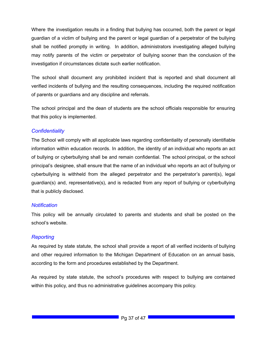Where the investigation results in a finding that bullying has occurred, both the parent or legal guardian of a victim of bullying and the parent or legal guardian of a perpetrator of the bullying shall be notified promptly in writing. In addition, administrators investigating alleged bullying may notify parents of the victim or perpetrator of bullying sooner than the conclusion of the investigation if circumstances dictate such earlier notification.

The school shall document any prohibited incident that is reported and shall document all verified incidents of bullying and the resulting consequences, including the required notification of parents or guardians and any discipline and referrals.

The school principal and the dean of students are the school officials responsible for ensuring that this policy is implemented.

#### *Confidentiality*

The School will comply with all applicable laws regarding confidentiality of personally identifiable information within education records. In addition, the identity of an individual who reports an act of bullying or cyberbullying shall be and remain confidential. The school principal, or the school principal's designee, shall ensure that the name of an individual who reports an act of bullying or cyberbullying is withheld from the alleged perpetrator and the perpetrator's parent(s), legal guardian(s) and, representative(s), and is redacted from any report of bullying or cyberbullying that is publicly disclosed.

#### *Notification*

This policy will be annually circulated to parents and students and shall be posted on the school's website.

#### *Reporting*

As required by state statute, the school shall provide a report of all verified incidents of bullying and other required information to the Michigan Department of Education on an annual basis, according to the form and procedures established by the Department.

<span id="page-36-0"></span>As required by state statute, the school's procedures with respect to bullying are contained within this policy, and thus no administrative guidelines accompany this policy.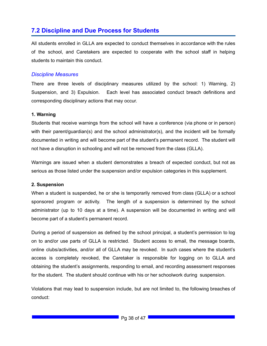### **7.2 Discipline and Due Process for Students**

All students enrolled in GLLA are expected to conduct themselves in accordance with the rules of the school, and Caretakers are expected to cooperate with the school staff in helping students to maintain this conduct.

#### *Discipline Measures*

There are three levels of disciplinary measures utilized by the school: 1) Warning, 2) Suspension, and 3) Expulsion. Each level has associated conduct breach definitions and corresponding disciplinary actions that may occur.

#### **1. Warning**

Students that receive warnings from the school will have a conference (via phone or in person) with their parent/guardian(s) and the school administrator(s), and the incident will be formally documented in writing and will become part of the student's permanent record. The student will not have a disruption in schooling and will not be removed from the class (GLLA).

Warnings are issued when a student demonstrates a breach of expected conduct, but not as serious as those listed under the suspension and/or expulsion categories in this supplement.

#### **2. Suspension**

When a student is suspended, he or she is temporarily removed from class (GLLA) or a school sponsored program or activity. The length of a suspension is determined by the school administrator (up to 10 days at a time). A suspension will be documented in writing and will become part of a student's permanent record.

During a period of suspension as defined by the school principal, a student's permission to log on to and/or use parts of GLLA is restricted. Student access to email, the message boards, online clubs/activities, and/or all of GLLA may be revoked. In such cases where the student's access is completely revoked, the Caretaker is responsible for logging on to GLLA and obtaining the student's assignments, responding to email, and recording assessment responses for the student. The student should continue with his or her schoolwork during suspension.

Violations that may lead to suspension include, but are not limited to, the following breaches of conduct: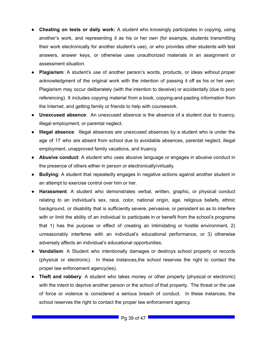- **Cheating on tests or daily work:** A student who knowingly participates in copying, using another's work, and representing it as his or her own (for example, students transmitting their work electronically for another student's use), or who provides other students with test answers, answer keys, or otherwise uses unauthorized materials in an assignment or assessment situation.
- **Plagiarism**: A student's use of another person's words, products, or ideas without proper acknowledgment of the original work with the intention of passing it off as his or her own. Plagiarism may occur deliberately (with the intention to deceive) or accidentally (due to poor referencing). It includes copying material from a book, copying-and-pasting information from the Internet, and getting family or friends to help with coursework.
- **Unexcused absence**: An unexcused absence is the absence of a student due to truancy, illegal employment, or parental neglect.
- **Illegal absence**: Illegal absences are unexcused absences by a student who is under the age of 17 who are absent from school due to avoidable absences, parental neglect, illegal employment, unapproved family vacations, and truancy.
- **Abusive conduct**: A student who uses abusive language or engages in abusive conduct in the presence of others either in person or electronically/virtually.
- **Bullying**: A student that repeatedly engages in negative actions against another student in an attempt to exercise control over him or her.
- **Harassment**: A student who demonstrates verbal, written, graphic, or physical conduct relating to an individual's sex, race, color, national origin, age, religious beliefs, ethnic background, or disability that is sufficiently severe, pervasive, or persistent so as to interfere with or limit the ability of an individual to participate in or benefit from the school's programs that 1) has the purpose or effect of creating an intimidating or hostile environment, 2) unreasonably interferes with an individual's educational performance, or 3) otherwise adversely affects an individual's educational opportunities.
- **Vandalism**: A Student who intentionally damages or destroys school property or records (physical or electronic). In these instances,the school reserves the right to contact the proper law enforcement agency(ies).
- **Theft and robbery**: A student who takes money or other property (physical or electronic) with the intent to deprive another person or the school of that property. The threat or the use of force or violence is considered a serious breach of conduct. In these instances, the school reserves the right to contact the proper law enforcement agency.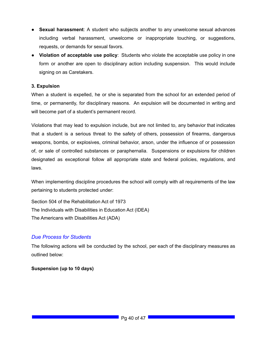- **Sexual harassment**: A student who subjects another to any unwelcome sexual advances including verbal harassment, unwelcome or inappropriate touching, or suggestions, requests, or demands for sexual favors.
- **Violation of acceptable use policy**: Students who violate the acceptable use policy in one form or another are open to disciplinary action including suspension. This would include signing on as Caretakers.

#### **3. Expulsion**

When a student is expelled, he or she is separated from the school for an extended period of time, or permanently, for disciplinary reasons. An expulsion will be documented in writing and will become part of a student's permanent record.

Violations that may lead to expulsion include, but are not limited to, any behavior that indicates that a student is a serious threat to the safety of others, possession of firearms, dangerous weapons, bombs, or explosives, criminal behavior, arson, under the influence of or possession of, or sale of controlled substances or paraphernalia. Suspensions or expulsions for children designated as exceptional follow all appropriate state and federal policies, regulations, and laws.

When implementing discipline procedures the school will comply with all requirements of the law pertaining to students protected under:

Section 504 of the Rehabilitation Act of 1973 The Individuals with Disabilities in Education Act (IDEA) The Americans with Disabilities Act (ADA)

#### *Due Process for Students*

The following actions will be conducted by the school, per each of the disciplinary measures as outlined below:

#### **Suspension (up to 10 days)**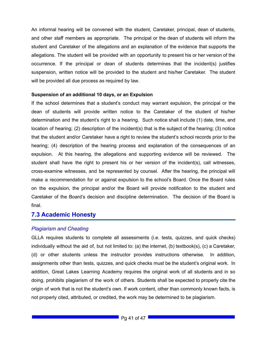An informal hearing will be convened with the student, Caretaker, principal, dean of students, and other staff members as appropriate. The principal or the dean of students will inform the student and Caretaker of the allegations and an explanation of the evidence that supports the allegations. The student will be provided with an opportunity to present his or her version of the occurrence. If the principal or dean of students determines that the incident(s) justifies suspension, written notice will be provided to the student and his/her Caretaker. The student will be provided all due process as required by law.

#### **Suspension of an additional 10 days, or an Expulsion**

If the school determines that a student's conduct may warrant expulsion, the principal or the dean of students will provide written notice to the Caretaker of the student of his/her determination and the student's right to a hearing. Such notice shall include (1) date, time, and location of hearing; (2) description of the incident(s) that is the subject of the hearing; (3) notice that the student and/or Caretaker have a right to review the student's school records prior to the hearing; (4) description of the hearing process and explanation of the consequences of an expulsion. At this hearing, the allegations and supporting evidence will be reviewed. The student shall have the right to present his or her version of the incident(s), call witnesses, cross-examine witnesses, and be represented by counsel. After the hearing, the principal will make a recommendation for or against expulsion to the school's Board. Once the Board rules on the expulsion, the principal and/or the Board will provide notification to the student and Caretaker of the Board's decision and discipline determination. The decision of the Board is final.

#### <span id="page-40-0"></span>**7.3 Academic Honesty**

#### *Plagiarism and Cheating*

GLLA requires students to complete all assessments (i.e. tests, quizzes, and quick checks) individually without the aid of, but not limited to: (a) the internet, (b) textbook(s), (c) a Caretaker, (d) or other students unless the instructor provides instructions otherwise. In addition, assignments other than tests, quizzes, and quick checks must be the student's original work. In addition, Great Lakes Learning Academy requires the original work of all students and in so doing, prohibits plagiarism of the work of others. Students shall be expected to properly cite the origin of work that is not the student's own. If work content, other than commonly known facts, is not properly cited, attributed, or credited, the work may be determined to be plagiarism.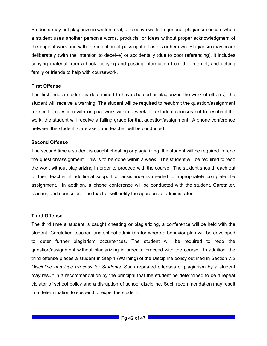Students may not plagiarize in written, oral, or creative work. In general, plagiarism occurs when a student uses another person's words, products, or ideas without proper acknowledgment of the original work and with the intention of passing it off as his or her own. Plagiarism may occur deliberately (with the intention to deceive) or accidentally (due to poor referencing). It includes copying material from a book, copying and pasting information from the Internet, and getting family or friends to help with coursework.

#### **First Offense**

The first time a student is determined to have cheated or plagiarized the work of other(s), the student will receive a warning. The student will be required to resubmit the question/assignment (or similar question) with original work within a week. If a student chooses not to resubmit the work, the student will receive a failing grade for that question/assignment. A phone conference between the student, Caretaker, and teacher will be conducted.

#### **Second Offense**

The second time a student is caught cheating or plagiarizing, the student will be required to redo the question/assignment. This is to be done within a week. The student will be required to redo the work without plagiarizing in order to proceed with the course. The student should reach out to their teacher if additional support or assistance is needed to appropriately complete the assignment. In addition, a phone conference will be conducted with the student, Caretaker, teacher, and counselor. The teacher will notify the appropriate administrator.

#### **Third Offense**

The third time a student is caught cheating or plagiarizing, a conference will be held with the student, Caretaker, teacher, and school administrator where a behavior plan will be developed to deter further plagiarism occurrences. The student will be required to redo the question/assignment without plagiarizing in order to proceed with the course. In addition, the third offense places a student in Step 1 (Warning) of the Discipline policy outlined in Section *7.2 Discipline and Due Process for Students*. Such repeated offenses of plagiarism by a student may result in a recommendation by the principal that the student be determined to be a repeat violator of school policy and a disruption of school discipline. Such recommendation may result in a determination to suspend or expel the student.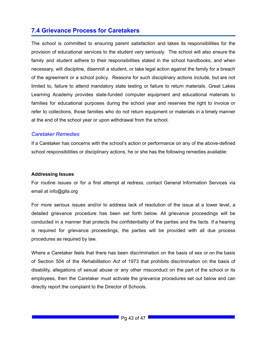### <span id="page-42-0"></span>**7.4 Grievance Process for Caretakers**

The school is committed to ensuring parent satisfaction and takes its responsibilities for the provision of educational services to the student very seriously. The school will also ensure the family and student adhere to their responsibilities stated in the school handbooks, and when necessary, will discipline, disenroll a student, or take legal action against the family for a breach of the agreement or a school policy. Reasons for such disciplinary actions include, but are not limited to, failure to attend mandatory state testing or failure to return materials. Great Lakes Learning Academy provides state-funded computer equipment and educational materials to families for educational purposes during the school year and reserves the right to invoice or refer to collections, those families who do not return equipment or materials in a timely manner at the end of the school year or upon withdrawal from the school.

#### *Caretaker Remedies*

If a Caretaker has concerns with the school's action or performance on any of the above-defined school responsibilities or disciplinary actions, he or she has the following remedies available:

#### **Addressing Issues**

For routine issues or for a first attempt at redress, contact General Information Services via email at info@glla.org

For more serious issues and/or to address lack of resolution of the issue at a lower level, a detailed grievance procedure has been set forth below. All grievance proceedings will be conducted in a manner that protects the confidentiality of the parties and the facts. If a hearing is required for grievance proceedings, the parties will be provided with all due process procedures as required by law.

Where a Caretaker feels that there has been discrimination on the basis of sex or on the basis of Section 504 of the *Rehabilitation Act* of 1973 that prohibits discrimination on the basis of disability, allegations of sexual abuse or any other misconduct on the part of the school or its employees, then the Caretaker must activate the grievance procedures set out below and can directly report the complaint to the Director of Schools.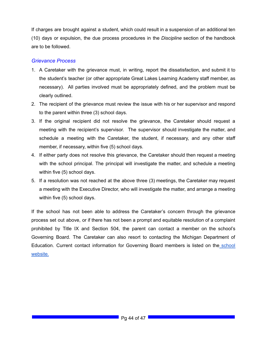If charges are brought against a student, which could result in a suspension of an additional ten (10) days or expulsion, the due process procedures in the *Discipline* section of the handbook are to be followed.

#### *Grievance Process*

- 1. A Caretaker with the grievance must, in writing, report the dissatisfaction, and submit it to the student's teacher (or other appropriate Great Lakes Learning Academy staff member, as necessary). All parties involved must be appropriately defined, and the problem must be clearly outlined.
- 2. The recipient of the grievance must review the issue with his or her supervisor and respond to the parent within three (3) school days.
- 3. If the original recipient did not resolve the grievance, the Caretaker should request a meeting with the recipient's supervisor. The supervisor should investigate the matter, and schedule a meeting with the Caretaker, the student, if necessary, and any other staff member, if necessary, within five (5) school days.
- 4. If either party does not resolve this grievance, the Caretaker should then request a meeting with the school principal. The principal will investigate the matter, and schedule a meeting within five (5) school days.
- 5. If a resolution was not reached at the above three (3) meetings, the Caretaker may request a meeting with the Executive Director, who will investigate the matter, and arrange a meeting within five (5) school days.

<span id="page-43-0"></span>If the school has not been able to address the Caretaker's concern through the grievance process set out above, or if there has not been a prompt and equitable resolution of a complaint prohibited by Title IX and Section 504, the parent can contact a member on the school's Governing Board. The Caretaker can also resort to contacting the Michigan Department of Education. Current contact information for Governing Board members is listed on the [school](https://glla.org/) [website.](https://glla.org/)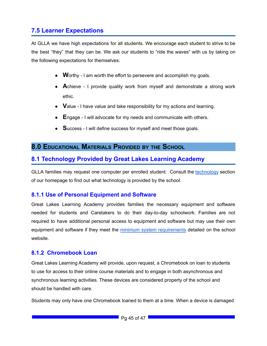### **7.5 Learner Expectations**

At GLLA we have high expectations for all students. We encourage each student to strive to be the best "they" that they can be. We ask our students to "ride the waves" with us by taking on the following expectations for themselves:

- Worthy I am worth the effort to persevere and accomplish my goals.
- **A**chieve I provide quality work from myself and demonstrate a strong work ethic.
- **V**alue I have value and take responsibility for my actions and learning.
- **E**ngage I will advocate for my needs and communicate with others.
- **Success I will define success for myself and meet those goals.**

### <span id="page-44-0"></span>**8.0 EDUCATIONAL MATERIALS PROVIDED BY THE SCHOOL**

### <span id="page-44-1"></span>**8.1 Technology Provided by Great Lakes Learning Academy**

GLLA families may request one computer per enrolled student. Consult the [technology](https://glla.org/our-school/technology/) section of our homepage to find out what technology is provided by the school.

#### <span id="page-44-2"></span>**8.1.1 Use of Personal Equipment and Software**

Great Lakes Learning Academy provides families the necessary equipment and software needed for students and Caretakers to do their day-to-day schoolwork. Families are not required to have additional personal access to equipment and software but may use their own equipment and software if they meet the minimum system [requirements](https://glla.org/our-school/technology/hardware-and-connectivity/connectivity-requirements/) detailed on the school website.

#### <span id="page-44-3"></span>**8.1.2 Chromebook Loan**

Great Lakes Learning Academy will provide, upon request, a Chromebook on loan to students to use for access to their online course materials and to engage in both asynchronous and synchronous learning activities. These devices are considered property of the school and should be handled with care.

Students may only have one Chromebook loaned to them at a time. When a device is damaged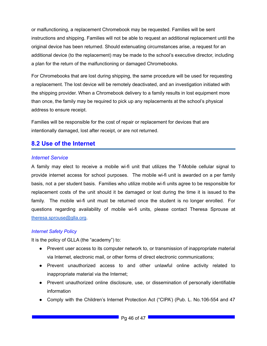or malfunctioning, a replacement Chromebook may be requested. Families will be sent instructions and shipping. Families will not be able to request an additional replacement until the original device has been returned. Should extenuating circumstances arise, a request for an additional device (to the replacement) may be made to the school's executive director, including a plan for the return of the malfunctioning or damaged Chromebooks.

For Chromebooks that are lost during shipping, the same procedure will be used for requesting a replacement. The lost device will be remotely deactivated, and an investigation initiated with the shipping provider. When a Chromebook delivery to a family results in lost equipment more than once, the family may be required to pick up any replacements at the school's physical address to ensure receipt.

Families will be responsible for the cost of repair or replacement for devices that are intentionally damaged, lost after receipt, or are not returned.

### <span id="page-45-0"></span>**8.2 Use of the Internet**

#### *Internet Service*

A family may elect to receive a mobile wi-fi unit that utilizes the T-Mobile cellular signal to provide internet access for school purposes. The mobile wi-fi unit is awarded on a per family basis, not a per student basis. Families who utilize mobile wi-fi units agree to be responsible for replacement costs of the unit should it be damaged or lost during the time it is issued to the family. The mobile wi-fi unit must be returned once the student is no longer enrolled. For questions regarding availability of mobile wi-fi units, please contact Theresa Sprouse at [theresa.sprouse@glla.org](mailto:theresa.sprouse@glla.org).

#### *Internet Safety Policy*

It is the policy of GLLA (the "academy") to:

- Prevent user access to its computer network to, or transmission of inappropriate material via Internet, electronic mail, or other forms of direct electronic communications;
- Prevent unauthorized access to and other unlawful online activity related to inappropriate material via the Internet;
- Prevent unauthorized online disclosure, use, or dissemination of personally identifiable information
- Comply with the Children's Internet Protection Act ("CIPA') (Pub. L. No.106-554 and 47